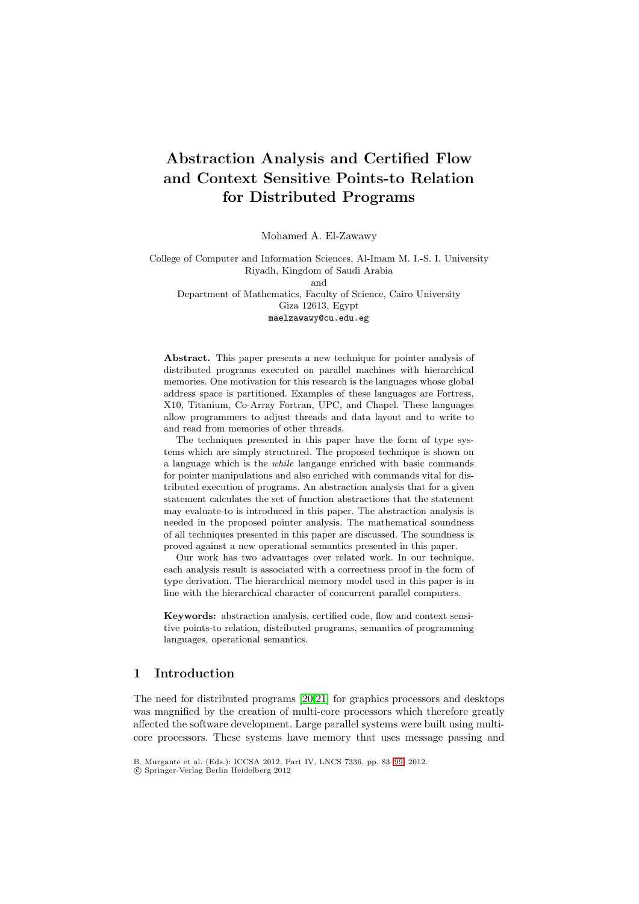# **Abstraction Analysis and Certified Flow and Context Sensitive Points-to Relation for Distributed Programs**

Mohamed A. El-Zawawy

College of Computer and Information Sciences, Al-Imam M. I.-S. I. University Riyadh, Kingdom of Saudi Arabia and Department of Mathematics, Faculty of Science, Cairo University Giza 12613, Egypt

maelzawawy@cu.edu.eg

**Abstract.** This paper presents a new technique for pointer analysis of distributed programs executed on parallel machines with hierarchical memories. One motivation for this research is the languages whose global address space is partitioned. Examples of these languages are Fortress, X10, Titanium, Co-Array Fortran, UPC, and Chapel. These languages allow programmers to adjust threads and data layout and to write to and read from memories of other threads.

The techniques presented in this paper have the form of type systems which are simply structured. The proposed technique is shown on a language which is the *while* langauge enriched with basic commands for pointer manipulations and also enriched with commands vital for distributed execution of programs. An abstraction analysis that for a given statement calculates the set of function abstractions that the statement may evaluate-to is introduced in this paper. The abstraction analysis is needed in the proposed pointer analysis. The mathematical soundness of all techniques presented in this paper are discussed. The soundness is proved against a new operational semantics presented in this paper.

Our work has two advantages over related work. In our technique, each analysis result is associated with a correctness proof in the form of type derivation. The hierarchical memory model used in this paper is in line with the hierarchical character of concurrent parallel computers.

**Keywords:** abstraction analysis, certified code, flow and context sensitive points-to relation, distributed programs, semantics of programming languages, operational semantics.

# **1 Introduction**

The need for distributed programs [\[20,](#page-15-0)[21\]](#page-15-1) for graphics processors and desktops was magnified by the creation of multi-core processors which therefore greatly affected the software development. Large parallel systems were built using multicore processors. These systems have memory that uses message passing and

B. Murgante et al. (Eds.): ICCSA 2012, Part IV, LNCS 7336, pp. 83[–99,](#page-14-0) 2012.

<sup>-</sup>c Springer-Verlag Berlin Heidelberg 2012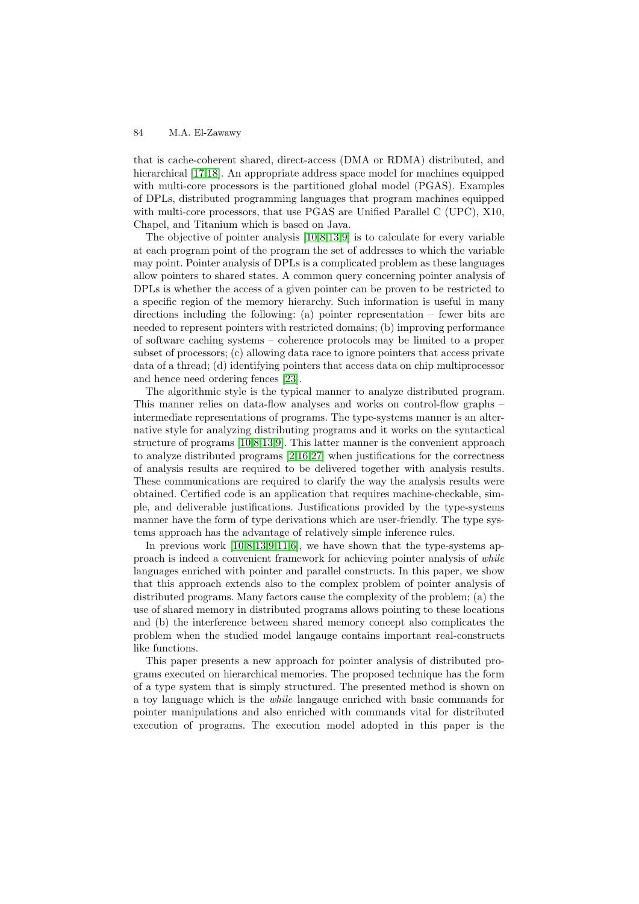that is cache-coherent shared, direct-access (DMA or RDMA) distributed, and hierarchical [\[17](#page-15-2)[,18\]](#page-15-3). An appropriate address space model for machines equipped with multi-core processors is the partitioned global model (PGAS). Examples of DPLs, distributed programming languages that program machines equipped with multi-core processors, that use PGAS are Unified Parallel C (UPC), X10, Chapel, and Titanium which is based on Java.

The objective of pointer analysis [\[10](#page-15-4)[,8](#page-15-5)[,13,](#page-15-6)[9\]](#page-15-7) is to calculate for every variable at each program point of the program the set of addresses to which the variable may point. Pointer analysis of DPLs is a complicated problem as these languages allow pointers to shared states. A common query concerning pointer analysis of DPLs is whether the access of a given pointer can be proven to be restricted to a specific region of the memory hierarchy. Such information is useful in many directions including the following: (a) pointer representation – fewer bits are needed to represent pointers with restricted domains; (b) improving performance of software caching systems – coherence protocols may be limited to a proper subset of processors; (c) allowing data race to ignore pointers that access private data of a thread; (d) identifying pointers that access data on chip multiprocessor and hence need ordering fences [\[23\]](#page-16-0).

The algorithmic style is the typical manner to analyze distributed program. This manner relies on data-flow analyses and works on control-flow graphs – intermediate representations of programs. The type-systems manner is an alternative style for analyzing distributing programs and it works on the syntactical structure of programs [\[10,](#page-15-4)[8,](#page-15-5)[13](#page-15-6)[,9\]](#page-15-7). This latter manner is the convenient approach to analyze distributed programs [\[2](#page-14-1)[,16](#page-15-8)[,27\]](#page-16-1) when justifications for the correctness of analysis results are required to be delivered together with analysis results. These communications are required to clarify the way the analysis results were obtained. Certified code is an application that requires machine-checkable, simple, and deliverable justifications. Justifications provided by the type-systems manner have the form of type derivations which are user-friendly. The type systems approach has the advantage of relatively simple inference rules.

In previous work [\[10](#page-15-4)[,8,](#page-15-5)[13](#page-15-6)[,9](#page-15-7)[,11](#page-15-9)[,6\]](#page-15-10), we have shown that the type-systems approach is indeed a convenient framework for achieving pointer analysis of *while* languages enriched with pointer and parallel constructs. In this paper, we show that this approach extends also to the complex problem of pointer analysis of distributed programs. Many factors cause the complexity of the problem; (a) the use of shared memory in distributed programs allows pointing to these locations and (b) the interference between shared memory concept also complicates the problem when the studied model langauge contains important real-constructs like functions.

This paper presents a new approach for pointer analysis of distributed programs executed on hierarchical memories. The proposed technique has the form of a type system that is simply structured. The presented method is shown on a toy language which is the *while* langauge enriched with basic commands for pointer manipulations and also enriched with commands vital for distributed execution of programs. The execution model adopted in this paper is the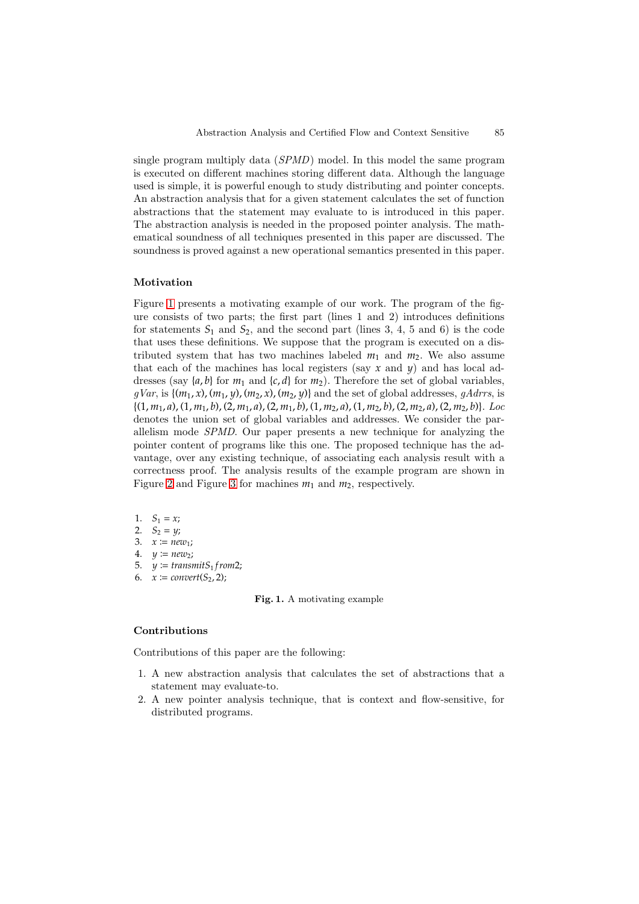single program multiply data (*SPMD*) model. In this model the same program is executed on different machines storing different data. Although the language used is simple, it is powerful enough to study distributing and pointer concepts. An abstraction analysis that for a given statement calculates the set of function abstractions that the statement may evaluate to is introduced in this paper. The abstraction analysis is needed in the proposed pointer analysis. The mathematical soundness of all techniques presented in this paper are discussed. The soundness is proved against a new operational semantics presented in this paper.

#### **Motivation**

Figure [1](#page-2-0) presents a motivating example of our work. The program of the figure consists of two parts; the first part (lines 1 and 2) introduces definitions for statements  $S_1$  and  $S_2$ , and the second part (lines 3, 4, 5 and 6) is the code that uses these definitions. We suppose that the program is executed on a distributed system that has two machines labeled  $m_1$  and  $m_2$ . We also assume that each of the machines has local registers (say  $x$  and  $y$ ) and has local addresses (say  $\{a, b\}$  for  $m_1$  and  $\{c, d\}$  for  $m_2$ ). Therefore the set of global variables,  $qVar$ , is  $\{(m_1, x), (m_1, y), (m_2, x), (m_2, y)\}$  and the set of global addresses, *qAdrrs*, is {(1, *m*1, *a*), (1, *m*1, *b*), (2, *m*1, *a*), (2, *m*1, *b*), (1, *m*2, *a*), (1, *m*2, *b*), (2, *m*2, *a*), (2, *m*2, *b*)}. *Loc* denotes the union set of global variables and addresses. We consider the parallelism mode *SPMD*. Our paper presents a new technique for analyzing the pointer content of programs like this one. The proposed technique has the advantage, over any existing technique, of associating each analysis result with a correctness proof. The analysis results of the example program are shown in Figure [2](#page-3-0) and Figure [3](#page-3-1) for machines *m*<sup>1</sup> and *m*2, respectively.

- 1.  $S_1 = x;$
- 2.  $S_2 = y;$
- $3. \quad x \coloneqq new_1;$
- 4.  $y \coloneqq new_2;$
- 5.  $y \coloneqq \text{transmitS}_1 \text{ from 2};$
- $6. \quad x \coloneqq \text{convert}(S_2, 2);$

<span id="page-2-0"></span>**Fig. 1.** A motivating example

## **Contributions**

Contributions of this paper are the following:

- 1. A new abstraction analysis that calculates the set of abstractions that a statement may evaluate-to.
- 2. A new pointer analysis technique, that is context and flow-sensitive, for distributed programs.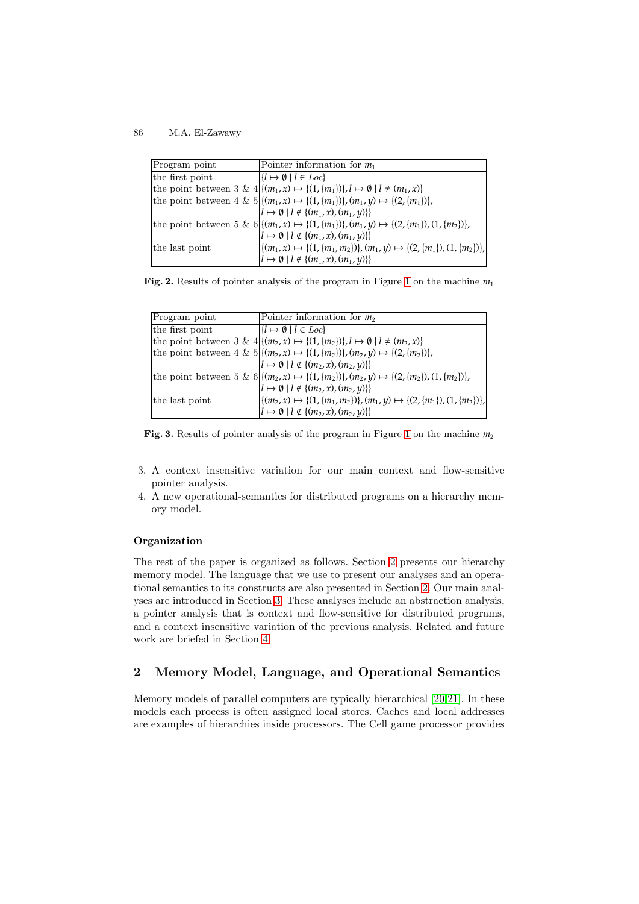| Program point   | Pointer information for $m_1$                                                                                      |
|-----------------|--------------------------------------------------------------------------------------------------------------------|
| the first point | $\{l \mapsto \emptyset \mid l \in Loc\}$                                                                           |
|                 | the point between 3 & 4 $\{(m_1, x) \mapsto \{(1, \{m_1\})\}, l \mapsto \emptyset \mid l \neq (m_1, x)\}\$         |
|                 | the point between 4 & 5 { $\{(m_1, x) \mapsto \{(1, \{m_1\})\}, (m_1, y) \mapsto \{(2, \{m_1\})\},\$               |
|                 | $l \mapsto \emptyset \mid l \notin \{(m_1, x), (m_1, y)\}\}\$                                                      |
|                 | the point between 5 & 6 { $\{(m_1, x) \mapsto \{(1, \{m_1\})\}, (m_1, y) \mapsto \{(2, \{m_1\}), (1, \{m_2\})\},\$ |
|                 | $l \mapsto \emptyset \mid l \notin \{(m_1, x), (m_1, y)\}\}\$                                                      |
| the last point  | $\{(m_1, x) \mapsto \{(1, \{m_1, m_2\})\}, (m_1, y) \mapsto \{(2, \{m_1\}), (1, \{m_2\})\},\$                      |
|                 | $l \mapsto \emptyset \mid l \notin \{(m_1,x),(m_1,y)\}\}$                                                          |

<span id="page-3-0"></span>**Fig. 2.** Results of pointer analysis of the program in Figure [1](#page-2-0) on the machine  $m_1$ 

| Program point   | Pointer information for $m_2$                                                                                   |
|-----------------|-----------------------------------------------------------------------------------------------------------------|
| the first point | $\{l \mapsto \emptyset \mid l \in Loc\}$                                                                        |
|                 | the point between 3 & 4 { $\{(m_2,x)\mapsto \{(1,\{m_2\})\}, l\mapsto \emptyset \mid l\neq (m_2,x)\}$           |
|                 | the point between 4 & 5 $\{(m_2, x) \mapsto \{(1, \{m_2\})\}, (m_2, y) \mapsto \{(2, \{m_2\})\},\$              |
|                 | $l \mapsto \emptyset \mid l \notin \{(m_2, x), (m_2, y)\}\}\$                                                   |
|                 | the point between 5 & 6 { $(m_2, x) \mapsto \{(1, \{m_2\})\}, (m_2, y) \mapsto \{(2, \{m_2\}), (1, \{m_2\})\},$ |
|                 | $l \mapsto \emptyset \mid l \notin \{(m_2, x), (m_2, y)\}\}\$                                                   |
| the last point  | $\{(m_2,x)\mapsto \{(1,\{m_1,m_2\})\},(m_1,y)\mapsto \{(2,\{m_1\}),(1,\{m_2\})\},$                              |
|                 | $l \mapsto \emptyset \mid l \notin \{(m_2,x),(m_2,y)\}\}$                                                       |

<span id="page-3-1"></span>**Fig. 3.** Results of pointer analysis of the program in Figure [1](#page-2-0) on the machine *m*<sup>2</sup>

- 3. A context insensitive variation for our main context and flow-sensitive pointer analysis.
- 4. A new operational-semantics for distributed programs on a hierarchy memory model.

# **Organization**

The rest of the paper is organized as follows. Section [2](#page-3-2) presents our hierarchy memory model. The language that we use to present our analyses and an operational semantics to its constructs are also presented in Section [2.](#page-3-2) Our main analyses are introduced in Section [3.](#page-7-0) These analyses include an abstraction analysis, a pointer analysis that is context and flow-sensitive for distributed programs, and a context insensitive variation of the previous analysis. Related and future work are briefed in Section [4.](#page-13-0)

# <span id="page-3-2"></span>**2 Memory Model, Language, and Operational Semantics**

Memory models of parallel computers are typically hierarchical [\[20](#page-15-0)[,21\]](#page-15-1). In these models each process is often assigned local stores. Caches and local addresses are examples of hierarchies inside processors. The Cell game processor provides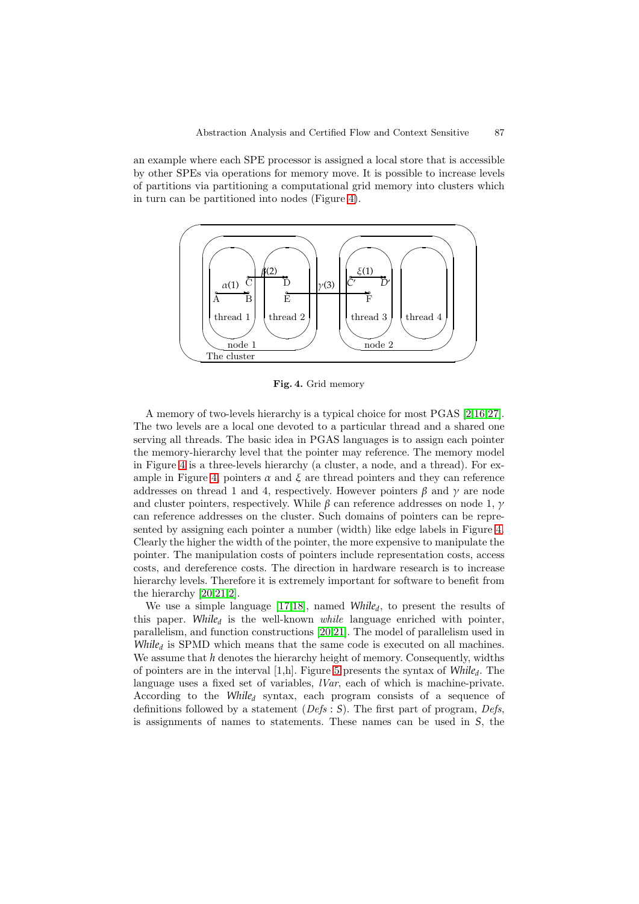an example where each SPE processor is assigned a local store that is accessible by other SPEs via operations for memory move. It is possible to increase levels of partitions via partitioning a computational grid memory into clusters which in turn can be partitioned into nodes (Figure [4\)](#page-4-0).



<span id="page-4-0"></span>**Fig. 4.** Grid memory

A memory of two-levels hierarchy is a typical choice for most PGAS [\[2,](#page-14-1)[16,](#page-15-8)[27\]](#page-16-1). The two levels are a local one devoted to a particular thread and a shared one serving all threads. The basic idea in PGAS languages is to assign each pointer the memory-hierarchy level that the pointer may reference. The memory model in Figure [4](#page-4-0) is a three-levels hierarchy (a cluster, a node, and a thread). For ex-ample in Figure [4,](#page-4-0) pointers  $\alpha$  and  $\xi$  are thread pointers and they can reference addresses on thread 1 and 4, respectively. However pointers  $\beta$  and  $\gamma$  are node and cluster pointers, respectively. While  $\beta$  can reference addresses on node 1,  $\gamma$ can reference addresses on the cluster. Such domains of pointers can be represented by assigning each pointer a number (width) like edge labels in Figure [4.](#page-4-0) Clearly the higher the width of the pointer, the more expensive to manipulate the pointer. The manipulation costs of pointers include representation costs, access costs, and dereference costs. The direction in hardware research is to increase hierarchy levels. Therefore it is extremely important for software to benefit from the hierarchy [\[20](#page-15-0)[,21](#page-15-1)[,2\]](#page-14-1).

We use a simple language  $[17,18]$  $[17,18]$ , named *While<sub>d</sub>*, to present the results of this paper. *While<sub>d</sub>* is the well-known *while* language enriched with pointer, parallelism, and function constructions [\[20,](#page-15-0)[21\]](#page-15-1). The model of parallelism used in *While<sub>d</sub>* is SPMD which means that the same code is executed on all machines. We assume that *h* denotes the hierarchy height of memory. Consequently, widths of pointers are in the interval [1,h]. Figure [5](#page-5-0) presents the syntax of *Whiled*. The language uses a fixed set of variables, *lVar*, each of which is machine-private. According to the *While*<sub>d</sub> syntax, each program consists of a sequence of definitions followed by a statement (*Defs* : *S*). The first part of program, *Defs*, is assignments of names to statements. These names can be used in *S*, the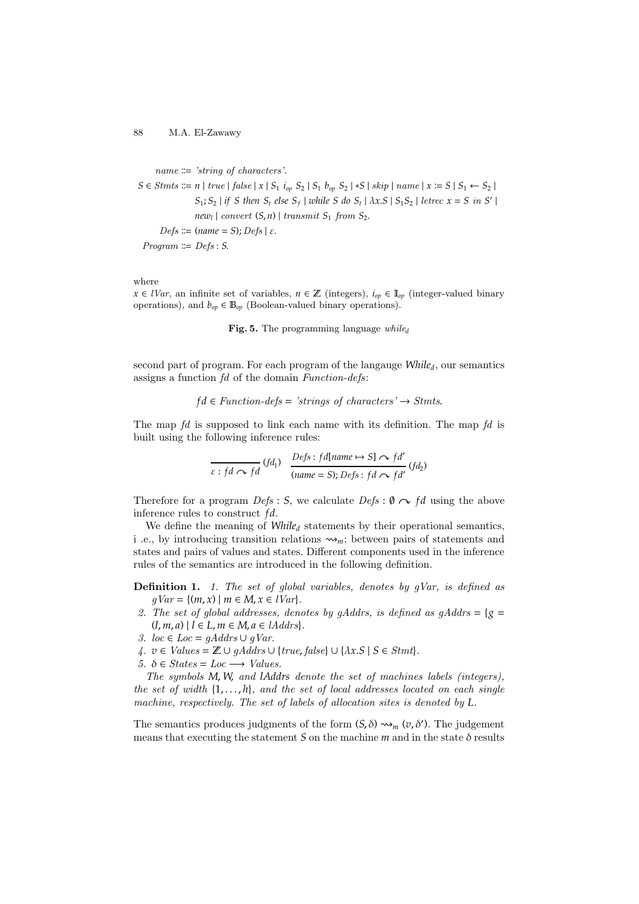*name 'string of characters'*.  $S \in \mathit{Stmts} \coloneqq n \mid \mathit{true} \mid \mathit{false} \mid x \mid S_1 \mathit{i}_{op} S_2 \mid S_1 \mathit{b}_{op} S_2 \mid *S \mid \mathit{skip} \mid \mathit{name} \mid x \coloneqq S \mid S_1 \leftarrow S_2$  $S_1; S_2$  | *if S* then  $S_t$  *else*  $S_f$  | *while S do*  $S_t$  |  $\lambda x.S$  |  $S_1S_2$  | *letrec*  $x = S$  *in S*' | *new<sub>l</sub>* | *convert*  $(S, n)$  | *transmit*  $S_1$  *from*  $S_2$ . *Defs* ::= (*name* = *S*); *Defs* | ε. *Program*  $\cong$  *Defs* : *S*.

where

*x* ∈ *lVar*, an infinite set of variables,  $n \in \mathbb{Z}$  (integers),  $i_{op} \in \mathbb{I}_{op}$  (integer-valued binary operations), and  $b_{op} \in \mathbb{B}_{op}$  (Boolean-valued binary operations).

<span id="page-5-0"></span>**Fig. 5.** The programming language *while<sup>d</sup>*

second part of program. For each program of the language  $While_d$ , our semantics assigns a function *fd* of the domain *Function-defs*:

$$
fd \in Function\text{-}defs = 'strings of characters' \rightarrow Stmts.
$$

The map *fd* is supposed to link each name with its definition. The map *fd* is built using the following inference rules:

$$
\frac{Defs: f d \cap S]}{ \epsilon: f d \cap f d} \quad \frac{Defs: f d| name \mapsto S] \cap f d'}{(name = S); Defs: f d \cap f d'} \quad (fd_2)
$$

Therefore for a program  $Defs : S$ , we calculate  $Defs : \emptyset \rightarrow \emptyset$  using the above inference rules to construct *f d*.

We define the meaning of *While<sub>d</sub>* statements by their operational semantics, i .e., by introducing transition relations  $\rightsquigarrow_m$ ; between pairs of statements and states and pairs of values and states. Different components used in the inference rules of the semantics are introduced in the following definition.

**Definition 1.** *1. The set of global variables, denotes by gVar, is defined as*  $qVar = \{(m, x) | m \in M, x \in IVar\}.$ 

- 2. The set of global addresses, denotes by gAddrs, is defined as gAddrs =  $\{g =$  $(l, m, a) \mid l \in L, m \in M, a \in lAddress$ .
- *3. loc* ∈ *Loc* =  $qA$ *ddrs* ∪  $qVar$ .
- $4.$  *v* ∈ *Values* =  $\mathbb{Z}$  ∪  $gAddress \cup \{true, false\}$  ∪  $\{\lambda x.S \mid S \in S \}$ *.*
- *5.*  $\delta \in \text{States} = \text{Loc} \longrightarrow \text{Values}.$

*The symbols M*, *W*, *and lAddrs denote the set of machines labels (integers), the set of width*  $\{1,\ldots,h\}$ *, and the set of local addresses located on each single machine, respectively. The set of labels of allocation sites is denoted by L.*

The semantics produces judgments of the form  $(S, \delta) \rightsquigarrow_m (v, \delta')$ . The judgement means that executing the statement *S* on the machine *m* and in the state  $\delta$  results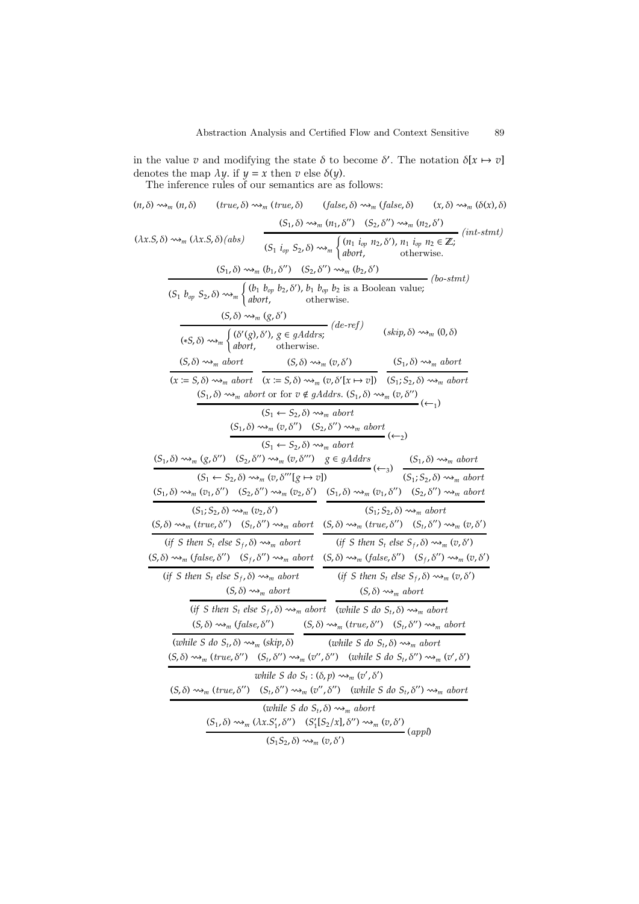in the value *v* and modifying the state  $\delta$  to become  $\delta'$ . The notation  $\delta[x \mapsto v]$ denotes the map  $\lambda y$ . if  $y = x$  then  $v$  else  $\delta(y)$ .

The inference rules of our semantics are as follows:

$$
(n, \delta) \rightsquigarrow_{m} (n, \delta) \qquad (true, \delta) \rightsquigarrow_{m} (true, \delta) \qquad (false, \delta) \rightsquigarrow_{m} (false, \delta) \rightsquigarrow_{m} (x, \delta) \rightsquigarrow_{m} (0(x), \delta)
$$
\n
$$
(3x.5, \delta) \rightsquigarrow_{m} (0x.5, \delta)(abs) \qquad \frac{(5_1, \delta) \rightsquigarrow_{m} (n, \delta'') (5_2, \delta'') \rightsquigarrow_{m} (n, \delta'') (5_2, \delta'') \rightsquigarrow_{m} (n, \delta'') (5_2, \delta'') \rightsquigarrow_{m} (0, \delta) \nonumber
$$
\n
$$
(3, \delta) \rightsquigarrow_{m} (0, \delta) \rightsquigarrow_{m} (0, \delta) \rightsquigarrow_{m} (0, \delta) \underbrace{(b_1 \ b_{op} b_2, \delta') \rightsquigarrow_{m} (b_2, \delta')}_{(5, \delta) \rightsquigarrow_{m} (0, \delta) \underbrace{(b_1 b_{op} b_2, \delta') \rightsquigarrow_{m} (b_2, \delta')}_{(5, \delta) \rightsquigarrow_{m} (0, \delta) \underbrace{(b_1 b_{op} b_2, \delta') \rightsquigarrow_{m} (0, \delta) \nonumber}
$$
\n
$$
(5, \delta) \rightsquigarrow_{m} (0, \delta') \underbrace{(b_1 b_{op} b_2, \delta') \underbrace{(b_1 b_{op} b_2, \delta')}_{(5, \delta) \rightsquigarrow_{m} (0, \delta) \underbrace{(b_1, \delta) \rightsquigarrow_{m} (0, \delta) \nonumber}
$$
\n
$$
(5, \delta) \rightsquigarrow_{m} (0, \delta') \underbrace{(S_1, \delta) \rightsquigarrow_{m} (0, \delta')}_{(5, \delta) \rightsquigarrow_{m} (0, \delta) \underbrace{(S_1, \delta) \rightsquigarrow_{m} (0, \delta) \nonumber}
$$
\n
$$
(5, \delta) \rightsquigarrow_{m} (0, \delta) \underbrace{(S_1, \delta) \rightsquigarrow_{m} (0, \delta')}_{(5, \delta) \rightsquigarrow_{m} (0, \delta) \underbrace{(S_1, \delta) \rightsquigarrow_{m} (0, \delta'')}_{(5, \delta
$$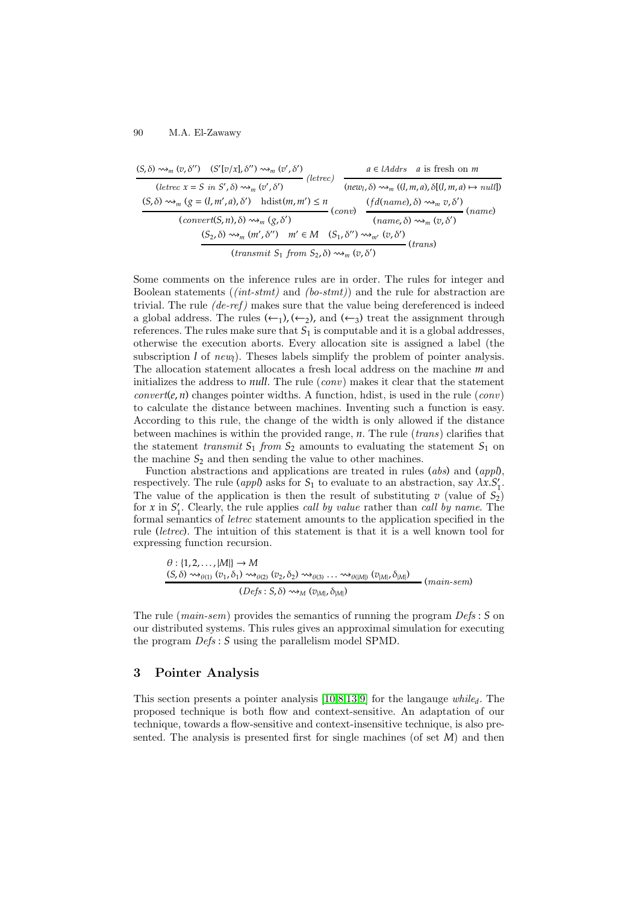| $(S, \delta) \rightsquigarrow_m (v, \delta'')$ $(S'[v/x], \delta'') \rightsquigarrow_m (v', \delta')$             | $a \in IAddrs$ a is fresh on m                                                   |
|-------------------------------------------------------------------------------------------------------------------|----------------------------------------------------------------------------------|
| $(\text{letrec})$<br>(letrec $x = S$ in $S'$ , $\delta$ ) $\rightsquigarrow_m (v', \delta')$                      | $(new_l, \delta) \rightsquigarrow_m ((l, m, a), \delta[(l, m, a) \mapsto null])$ |
| $(S, \delta) \rightsquigarrow_m (g = (l, m', a), \delta')$ hdist $(m, m') \leq n$                                 | $\frac{(fd(name), \delta) \rightsquigarrow_m v, \delta')}{(conv)}$<br>$-$ (name) |
| $\left(\text{convert}(S,n), \delta\right) \rightsquigarrow_m (g, \delta')$                                        | $(name, \delta) \rightsquigarrow_m (v, \delta')$                                 |
| $(S_2, \delta) \rightsquigarrow_m (m', \delta'')$ $m' \in M$ $(S_1, \delta'') \rightsquigarrow_{m'} (v, \delta')$ | (trans)                                                                          |
| $(transmit S_1$ from $S_2$ , $\delta$ ) $\rightsquigarrow_m (v, \delta')$                                         |                                                                                  |

Some comments on the inference rules are in order. The rules for integer and Boolean statements (*(int-stmt)* and *(bo-stmt)*) and the rule for abstraction are trivial. The rule *(de-ref)* makes sure that the value being dereferenced is indeed a global address. The rules  $(\leftarrow_1), (\leftarrow_2)$ , and  $(\leftarrow_3)$  treat the assignment through references. The rules make sure that  $S_1$  is computable and it is a global addresses, otherwise the execution aborts. Every allocation site is assigned a label (the subscription *l* of *new*<sub>*l*</sub>). Theses labels simplify the problem of pointer analysis. The allocation statement allocates a fresh local address on the machine *m* and initializes the address to *null*. The rule (*conv*) makes it clear that the statement *convert*( $e, n$ ) changes pointer widths. A function, hdist, is used in the rule (*conv*) to calculate the distance between machines. Inventing such a function is easy. According to this rule, the change of the width is only allowed if the distance between machines is within the provided range, *n*. The rule (*trans*) clarifies that the statement *transmit*  $S_1$  *from*  $S_2$  amounts to evaluating the statement  $S_1$  on the machine *S*<sup>2</sup> and then sending the value to other machines.

Function abstractions and applications are treated in rules (*abs*) and (*appl*), respectively. The rule (*appl*) asks for  $S_1$  to evaluate to an abstraction, say  $\lambda x.S_1'$ . The value of the application is then the result of substituting  $v$  (value of  $S_2$ ) for *x* in *S* <sup>1</sup>. Clearly, the rule applies *call by value* rather than *call by name*. The formal semantics of *letrec* statement amounts to the application specified in the rule (*letrec*). The intuition of this statement is that it is a well known tool for expressing function recursion.

$$
\theta: \{1, 2, ..., |M|\} \to M
$$
  
(S, \delta)  $\leadsto_{\theta(1)} (v_1, \delta_1) \leadsto_{\theta(2)} (v_2, \delta_2) \leadsto_{\theta(3)} ... \leadsto_{\theta(|M|)} (v_{|M|}, \delta_{|M|})$   
(*Defs*: S, \delta)  $\leadsto_M (v_{|M|}, \delta_{|M|})$  (main-sem)

The rule (*main-sem*) provides the semantics of running the program *Defs* : *S* on our distributed systems. This rules gives an approximal simulation for executing the program *Defs* : *S* using the parallelism model SPMD.

# <span id="page-7-0"></span>**3 Pointer Analysis**

This section presents a pointer analysis [\[10](#page-15-4)[,8,](#page-15-5)[13,](#page-15-6)[9\]](#page-15-7) for the langauge *whiled*. The proposed technique is both flow and context-sensitive. An adaptation of our technique, towards a flow-sensitive and context-insensitive technique, is also presented. The analysis is presented first for single machines (of set *M*) and then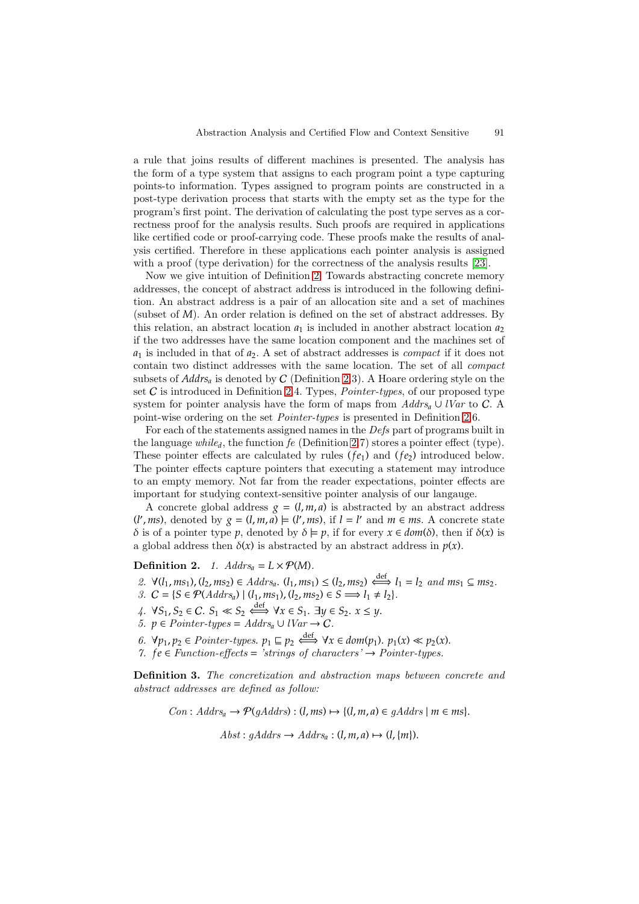a rule that joins results of different machines is presented. The analysis has the form of a type system that assigns to each program point a type capturing points-to information. Types assigned to program points are constructed in a post-type derivation process that starts with the empty set as the type for the program's first point. The derivation of calculating the post type serves as a correctness proof for the analysis results. Such proofs are required in applications like certified code or proof-carrying code. These proofs make the results of analysis certified. Therefore in these applications each pointer analysis is assigned with a proof (type derivation) for the correctness of the analysis results [\[23\]](#page-16-0).

Now we give intuition of Definition [2.](#page-8-0) Towards abstracting concrete memory addresses, the concept of abstract address is introduced in the following definition. An abstract address is a pair of an allocation site and a set of machines (subset of *M*). An order relation is defined on the set of abstract addresses. By this relation, an abstract location  $a_1$  is included in another abstract location  $a_2$ if the two addresses have the same location component and the machines set of *a*<sup>1</sup> is included in that of *a*2. A set of abstract addresses is *compact* if it does not contain two distinct addresses with the same location. The set of all *compact* subsets of *Addrsa* is denoted by C (Definition [2.](#page-8-0)3). A Hoare ordering style on the set C is introduced in Definition [2.](#page-8-0)4. Types, *Pointer-types*, of our proposed type system for pointer analysis have the form of maps from *Addrs<sup>a</sup>* ∪ *lVar* to C. A point-wise ordering on the set *Pointer-types* is presented in Definition [2.](#page-8-0)6.

For each of the statements assigned names in the *Defs* part of programs built in the language *while<sub>d</sub>*, the function *fe* (Definition [2.](#page-8-0)7) stores a pointer effect (type). These pointer effects are calculated by rules  $(f_{e_1})$  and  $(f_{e_2})$  introduced below. The pointer effects capture pointers that executing a statement may introduce to an empty memory. Not far from the reader expectations, pointer effects are important for studying context-sensitive pointer analysis of our langauge.

A concrete global address  $g = (l, m, a)$  is abstracted by an abstract address  $(l', ms)$ , denoted by  $g = (l, m, a) \models (l', ms)$ , if  $l = l'$  and  $m \in ms$ . A concrete state δ is of a pointer type *p*, denoted by  $\delta \models p$ , if for every *x* ∈ *dom*(δ), then if  $\delta(x)$  is a global address then  $\delta(x)$  is abstracted by an abstract address in  $p(x)$ .

**Definition 2.** *1. Addrs<sub>a</sub>* =  $L \times \mathcal{P}(M)$ *.* 

*2.*  $\forall (l_1, ms_1), (l_2, ms_2) \in Address_a, (l_1, ms_1) \leq (l_2, ms_2) \stackrel{\text{def}}{\iff} l_1 = l_2 \text{ and } ms_1 \subseteq ms_2.$ 

- *3.*  $C = \{S \in \mathcal{P}(Address_a) \mid (l_1, ms_1), (l_2, ms_2) \in S \implies l_1 \neq l_2\}.$
- *4*.  $\forall S_1, S_2 \in C$ .  $S_1 \ll S_2$   $\xleftrightarrow{\text{def}}$   $\forall x \in S_1$ . ∃*y* ∈  $S_2$ .  $x \leq y$ .
- *5.*  $p ∈ Pointer-types = Address_a ∪ lVar → C$ .
- *6.*  $∀p_1, p_2 ∈ Pointer-types. p_1 ⊆ p_2 \stackrel{\text{def}}{\iff} ∀x ∈ dom(p_1). p_1(x) \ll p_2(x).$
- $\gamma$ .  $f e \in Function\text{-}effects = 'strings \text{ of characters'} \rightarrow Pointer\text{-}types.$

**Definition 3.** *The concretization and abstraction maps between concrete and abstract addresses are defined as follow:*

 $Con: Address_a \rightarrow \mathcal{P}(gAddress): (l, ms) \mapsto \{(l, m, a) \in gAddress \mid m \in ms\}.$ 

<span id="page-8-0"></span> $A$ *bst* :  $gA$ *ddrs*  $\rightarrow$   $A$ *ddrs<sub>a</sub>* :  $(l, m, a) \mapsto (l, \{m\})$ .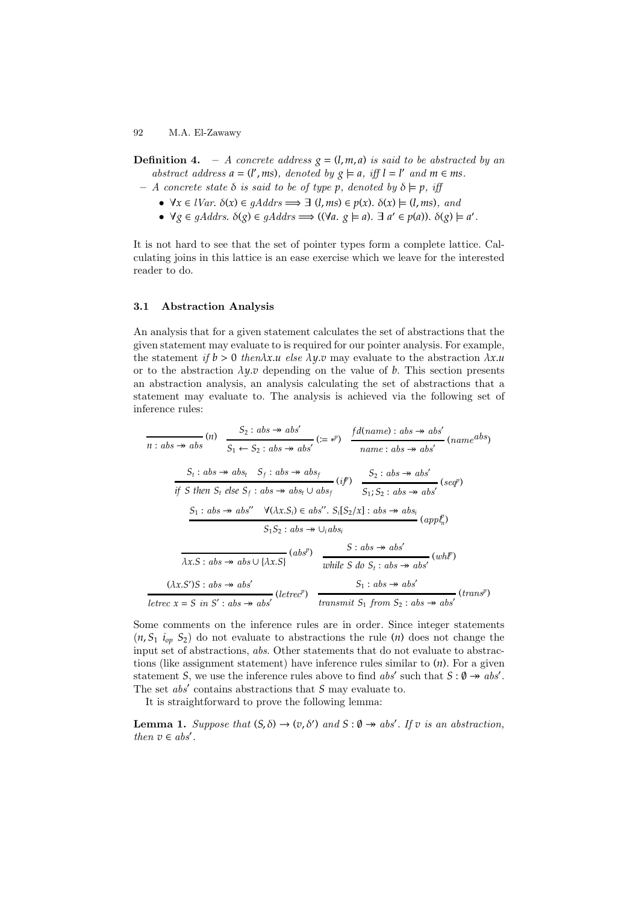**Definition 4.** – *A concrete address*  $g = (l, m, a)$  *is said to be abstracted by an abstract address*  $a = (l', ms)$ *, denoted by*  $g \models a$ *, iff*  $l = l'$  *and*  $m \in ms$ *.* 

- $-$  *A* concrete state  $\delta$  *is said to be of type*  $p$ *, denoted by*  $\delta \models p$ *, iff* 
	- $\blacktriangleright$   $\forall x \in \text{IVar. } \delta(x) \in \text{gAddress} \implies \exists (\text{l, ms}) \in p(x) \text{. } \delta(x) \models (\text{l, ms}), \text{ and}$
	- $\forall g \in gAddress. \ \delta(g) \in gAddress \implies ((\forall a. g \models a). \ \exists a' \in p(a)). \ \delta(g) \models a'.$

It is not hard to see that the set of pointer types form a complete lattice. Calculating joins in this lattice is an ease exercise which we leave for the interested reader to do.

#### **3.1 Abstraction Analysis**

An analysis that for a given statement calculates the set of abstractions that the given statement may evaluate to is required for our pointer analysis. For example, the statement *if*  $b > 0$  *then* $\lambda x.u$  *else*  $\lambda y.v$  may evaluate to the abstraction  $\lambda x.u$ or to the abstraction  $\lambda y$ .*v* depending on the value of *b*. This section presents an abstraction analysis, an analysis calculating the set of abstractions that a statement may evaluate to. The analysis is achieved via the following set of inference rules:

$$
\frac{S_2: abs \rightarrow abs'}{S_1 \leftarrow S_2: abs \rightarrow abs'} := \frac{fd(name): abs \rightarrow abs'}{name: abs \rightarrow abs'} (nameabs)
$$
\n
$$
\frac{S_t: abs \rightarrow abs_t \quad S_f: abs \rightarrow abs_f}{\text{name}: abs \rightarrow abs'} (nameabs)}
$$
\n
$$
\frac{S_t: abs \rightarrow abs_t \quad S_f: abs \rightarrow abs_f}{\text{if S then S_t else S_f: abs \rightarrow abs_t \cup abs_f}} = \frac{S_2: abs \rightarrow abs'}{S_1; S_2: abs \rightarrow abs'} (seq^p)
$$
\n
$$
\frac{S_1: abs \rightarrow abs'}{S_1; S_2: abs \rightarrow abs'} (sep)
$$
\n
$$
\frac{S_1: abs \rightarrow abs'}{S_1; S_2: abs \rightarrow abs} (app^p_n)
$$
\n
$$
S_1 S_2: abs \rightarrow \cup_i abs_i
$$
\n
$$
\frac{S_1: abs \rightarrow abs'}{Xx.S : abs \rightarrow abs \cup \{Xx.S\}} = \frac{S : abs \rightarrow abs'}{while S do S_t: abs \rightarrow abs'} (wh^p)
$$
\n
$$
\frac{(Xx.S')S : abs \rightarrow abs'}{letrec x = S in S' : abs \rightarrow abs'} (letrec^p) \quad \frac{S_1: abs \rightarrow abs'}{transmit S_1 from S_2: abs \rightarrow abs'} (trans^p)
$$

Some comments on the inference rules are in order. Since integer statements  $(n, S_1, i_{op}, S_2)$  do not evaluate to abstractions the rule  $(n)$  does not change the input set of abstractions, *abs*. Other statements that do not evaluate to abstractions (like assignment statement) have inference rules similar to (*n*). For a given statement *S*, we use the inference rules above to find  $abs'$  such that  $S: \emptyset \rightarrow abs'$ . The set *abs'* contains abstractions that *S* may evaluate to.

<span id="page-9-0"></span>It is straightforward to prove the following lemma:

**Lemma 1.** *Suppose that*  $(S, \delta) \to (v, \delta')$  *and*  $S : \emptyset \to abs'$ *. If v is an abstraction, then*  $v \in abs'$ .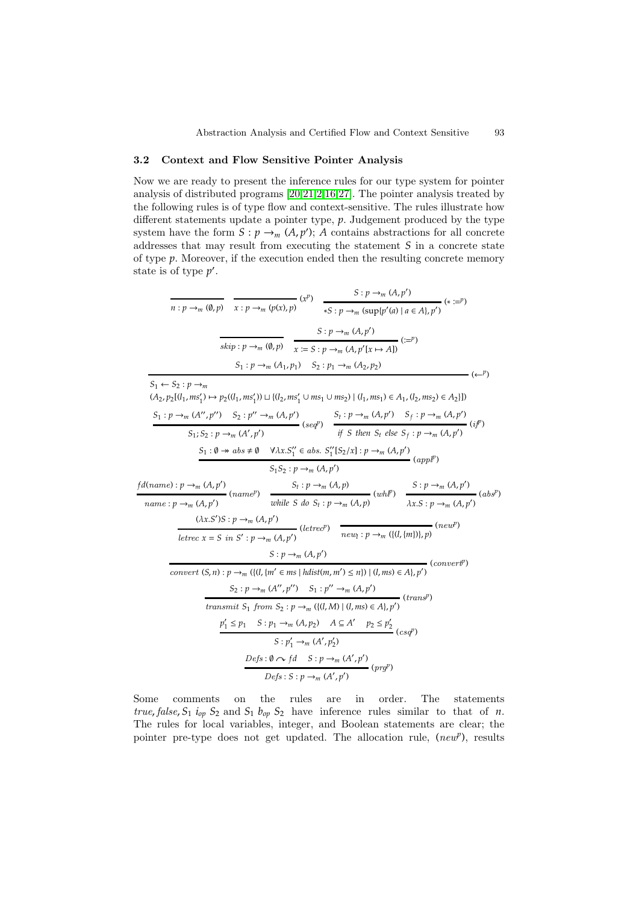### **3.2 Context and Flow Sensitive Pointer Analysis**

Now we are ready to present the inference rules for our type system for pointer analysis of distributed programs [\[20,](#page-15-0)[21](#page-15-1)[,2,](#page-14-1)[16,](#page-15-8)[27\]](#page-16-1). The pointer analysis treated by the following rules is of type flow and context-sensitive. The rules illustrate how different statements update a pointer type, *p*. Judgement produced by the type system have the form  $S: p \rightarrow_m (A, p')$ ; *A* contains abstractions for all concrete addresses that may result from executing the statement *S* in a concrete state of type *p*. Moreover, if the execution ended then the resulting concrete memory state is of type *p* .

$$
\frac{S: p \to_m (A, p')}{n: p \to_m (0, p)} \frac{S: p \to_m (A, p')}{*S: p \to_m (sup\{p'(a) \mid a \in A\}, p') } (*:=^p)
$$
  

$$
\frac{S: p \to_m (A, p')}{skip: p \to_m (0, p)} \frac{S: p \to_m (A, p')}{x: = S: p \to_m (A, p' [x \mapsto A]) }(:=^p)
$$
  

$$
S_1: p \to_m (A_1, p_1) S_2: p_1 \to_m (A_2, p_2)
$$

| $S_1 \leftarrow S_2 : p \rightarrow_m$<br>$(A_2, p_2[(l_1, ms'_1) \mapsto p_2((l_1, ms'_1)) \sqcup \{(l_2, ms'_1 \cup ms_1 \cup ms_2) \mid (l_1, ms_1) \in A_1, (l_2, ms_2) \in A_2\}])$                                                                 |                                                                                                                           |                                                                                                                                       | $\cdots$                              |
|----------------------------------------------------------------------------------------------------------------------------------------------------------------------------------------------------------------------------------------------------------|---------------------------------------------------------------------------------------------------------------------------|---------------------------------------------------------------------------------------------------------------------------------------|---------------------------------------|
|                                                                                                                                                                                                                                                          |                                                                                                                           |                                                                                                                                       |                                       |
| $\begin{split} \frac{S_1:p\to_m(A'',p'')\quad S_2:p''\to_m(A,p')}{S_1;S_2:p\to_m(A',p')}\;(seq^p)\quad \frac{S_t:p\to_m(A,p')\quad S_f:p\to_m(A,p')}{if\ S\ then\ S_t\ else\ S_f:p\to_m(A,p')}\;(if') \end{split}$                                       |                                                                                                                           |                                                                                                                                       |                                       |
|                                                                                                                                                                                                                                                          |                                                                                                                           | $S_1: \emptyset \twoheadrightarrow abs \neq \emptyset \quad \forall \lambda x. S_1'' \in abs. \ S_1''[S_2/x]: p \rightarrow_m (A,p')$ |                                       |
|                                                                                                                                                                                                                                                          | $S_1S_2: p \rightarrow_m (A, p')$                                                                                         | $\sqrt{apv^p}$                                                                                                                        |                                       |
|                                                                                                                                                                                                                                                          |                                                                                                                           |                                                                                                                                       |                                       |
| $\frac{fd(name): p \rightarrow_m (A, p')}{name: p \rightarrow_m (A, p')}(name^p) \quad \frac{S_t: p \rightarrow_m (A, p)}{while S do S_t: p \rightarrow_m (A, p)} \quad \frac{S: p \rightarrow_m (A, p')}{\lambda x.S: p \rightarrow_m (A, p')} (abs^p)$ |                                                                                                                           |                                                                                                                                       |                                       |
| $(\lambda x.S')S: p \rightarrow_m (A,p')$                                                                                                                                                                                                                |                                                                                                                           |                                                                                                                                       | $\longrightarrow$ $(new^p)$           |
| letrec $x = S$ in $S' : p \rightarrow_m (A, p')$                                                                                                                                                                                                         |                                                                                                                           | (letrec <sup>p</sup> ) $\overline{new : p \rightarrow_m (\{(l, \{m\})\}, p)}$                                                         |                                       |
|                                                                                                                                                                                                                                                          | $S: p \rightarrow_m (A, p')$                                                                                              |                                                                                                                                       | $\text{(\textit{convert}\textit{p})}$ |
| convert $(S, n) : p \to_m ( \{ (l, \{ m' \in ms \mid hdist(m, m') \leq n \} ) \mid (l, ms) \in A \}, p' )$                                                                                                                                               |                                                                                                                           |                                                                                                                                       |                                       |
|                                                                                                                                                                                                                                                          | $S_2: p \to_m (A'', p'')$ $S_1: p'' \to_m (A, p')$                                                                        |                                                                                                                                       | $ (trans^p)$                          |
|                                                                                                                                                                                                                                                          |                                                                                                                           | transmit $S_1$ from $S_2$ : $p \rightarrow_m ( \{(l, M)   (l, ms) \in A\}, p')$                                                       |                                       |
|                                                                                                                                                                                                                                                          | $p'_1 \le p_1$ $S : p_1 \to_m (A, p_2)$ $A \subseteq A'$ $p_2 \le p'_2$                                                   | $\equiv$ $(csg^p)$                                                                                                                    |                                       |
|                                                                                                                                                                                                                                                          | $S: p'_1 \rightarrow_m (A', p'_2)$                                                                                        |                                                                                                                                       |                                       |
|                                                                                                                                                                                                                                                          | $\frac{Defs: \emptyset \curvearrowright fd \quad S: p \rightarrow_m (A', p')}{Defs: S: p \rightarrow_m (A', p')} (prg^p)$ |                                                                                                                                       |                                       |
|                                                                                                                                                                                                                                                          |                                                                                                                           |                                                                                                                                       |                                       |

Some comments on the rules are in order. The statements *true*, *false*,  $S_1$  *i<sub>op</sub>*  $S_2$  and  $S_1$  *b<sub>op</sub>*  $S_2$  have inference rules similar to that of *n*. The rules for local variables, integer, and Boolean statements are clear; the pointer pre-type does not get updated. The allocation rule, (*new<sup>p</sup>*), results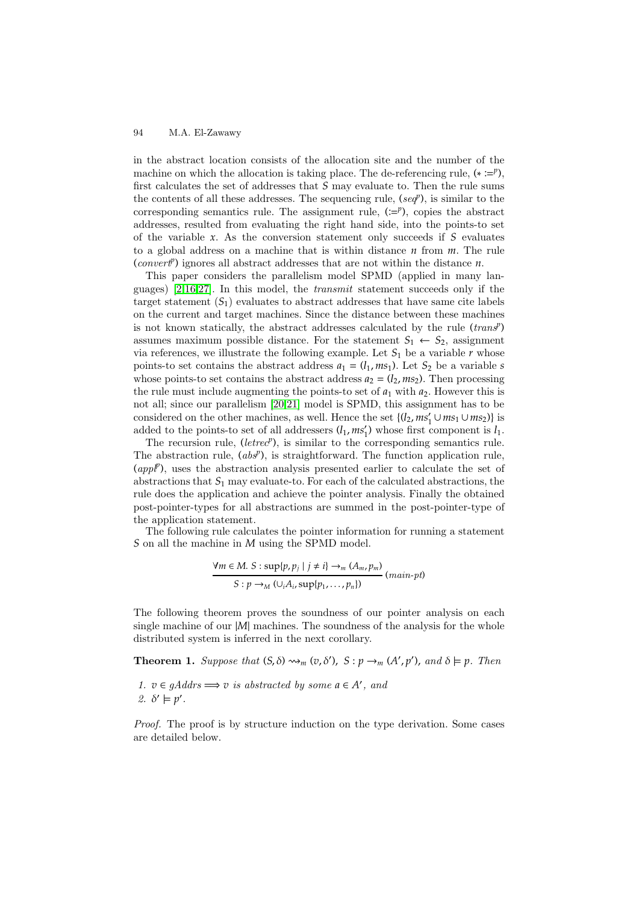in the abstract location consists of the allocation site and the number of the machine on which the allocation is taking place. The de-referencing rule,  $(* := p)$ , first calculates the set of addresses that *S* may evaluate to. Then the rule sums the contents of all these addresses. The sequencing rule, (*seq<sup>p</sup>*), is similar to the corresponding semantics rule. The assignment rule,  $(\equiv^p)$ , copies the abstract addresses, resulted from evaluating the right hand side, into the points-to set of the variable *x*. As the conversion statement only succeeds if *S* evaluates to a global address on a machine that is within distance *n* from *m*. The rule (*convert*<sup> $p$ </sup>) ignores all abstract addresses that are not within the distance  $n$ .

This paper considers the parallelism model SPMD (applied in many languages) [\[2](#page-14-1)[,16](#page-15-8)[,27\]](#page-16-1). In this model, the *transmit* statement succeeds only if the target statement  $(S_1)$  evaluates to abstract addresses that have same cite labels on the current and target machines. Since the distance between these machines is not known statically, the abstract addresses calculated by the rule (*trans<sup>p</sup>*) assumes maximum possible distance. For the statement  $S_1 \leftarrow S_2$ , assignment via references, we illustrate the following example. Let  $S_1$  be a variable  $r$  whose points-to set contains the abstract address  $a_1 = (l_1, ms_1)$ . Let  $S_2$  be a variable *s* whose points-to set contains the abstract address  $a_2 = (l_2, ms_2)$ . Then processing the rule must include augmenting the points-to set of  $a_1$  with  $a_2$ . However this is not all; since our parallelism [\[20,](#page-15-0)[21\]](#page-15-1) model is SPMD, this assignment has to be considered on the other machines, as well. Hence the set  $\{(l_2, ms'_1 \cup ms_1 \cup ms_2)\}\$ is added to the points-to set of all addressers  $(l_1, ms'_1)$  whose first component is  $l_1$ .

The recursion rule, (letrec<sup>p</sup>), is similar to the corresponding semantics rule. The abstraction rule,  $(abs^p)$ , is straightforward. The function application rule, (*appl<sup>p</sup>* ), uses the abstraction analysis presented earlier to calculate the set of abstractions that *S*<sup>1</sup> may evaluate-to. For each of the calculated abstractions, the rule does the application and achieve the pointer analysis. Finally the obtained post-pointer-types for all abstractions are summed in the post-pointer-type of the application statement.

The following rule calculates the pointer information for running a statement *S* on all the machine in *M* using the SPMD model.

<span id="page-11-0"></span>
$$
\forall m \in M. S: \sup\{p, p_j \mid j \neq i\} \rightarrow_m (A_m, p_m)
$$
  

$$
S: p \rightarrow_M (\bigcup_i A_i, \sup\{p_1, \dots, p_n\})
$$
 (main-pt)

The following theorem proves the soundness of our pointer analysis on each single machine of our  $|M|$  machines. The soundness of the analysis for the whole distributed system is inferred in the next corollary.

**Theorem 1.** *Suppose that*  $(S, \delta) \rightarrow_{m} (v, \delta')$ ,  $S: p \rightarrow_{m} (A', p')$ , and  $\delta \models p$ . Then

*1.*  $v \in gAddress \implies v$  *is abstracted by some*  $a \in A'$ *, and*  $2. \delta' \models p'.$ 

*Proof.* The proof is by structure induction on the type derivation. Some cases are detailed below.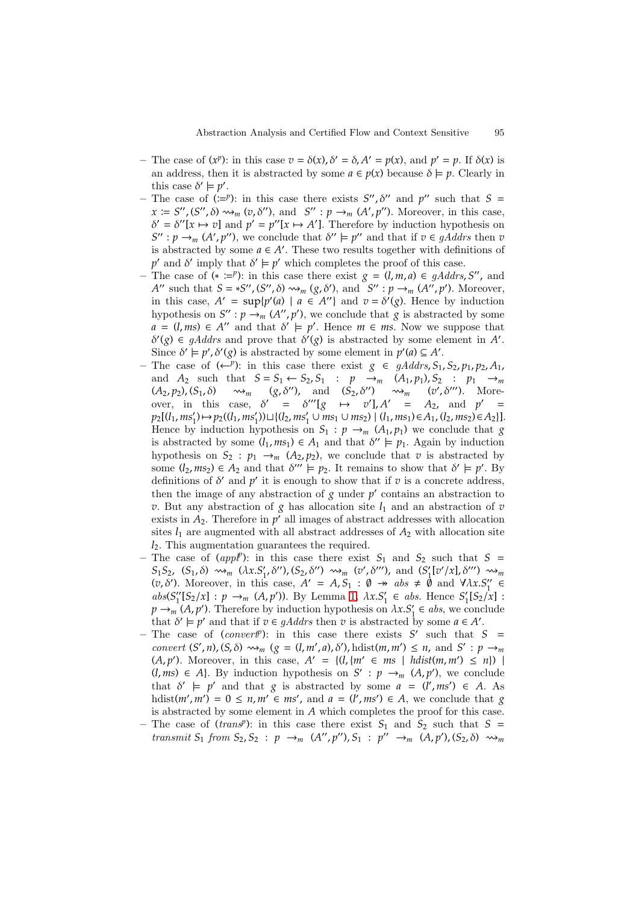- **–** The case of  $(x^p)$ : in this case  $v = \delta(x)$ ,  $\delta' = \delta$ ,  $A' = p(x)$ , and  $p' = p$ . If  $\delta(x)$  is an address, then it is abstracted by some  $a \in p(x)$  because  $\delta \models p$ . Clearly in this case  $\delta' \models p'$ .
- **–** The case of  $(:=^p):$  in this case there exists *S''*,  $\delta''$  and  $p''$  such that *S* =  $x := S''$ ,  $(S'', \delta) \rightsquigarrow_m (v, \delta'')$ , and  $S'' : p \rightarrow_m (A', p'')$ . Moreover, in this case,  $\delta' = \delta''[x \mapsto v]$  and  $p' = p''[x \mapsto A']$ . Therefore by induction hypothesis on  $S'': p \rightarrow_m (A', p'')$ , we conclude that  $\delta'' \models p''$  and that if  $v \in \mathfrak{g}A$ ddrs then *v* is abstracted by some  $a \in A'$ . These two results together with definitions of *p*' and  $\delta$ ' imply that  $\delta' \models p'$  which completes the proof of this case.
- *−* The case of (\* :=<sup>*p*</sup>): in this case there exist *g* =  $(l, m, a) \in gAddress, S'',$  and *A*" such that  $S = *S''$ ,  $(S'', \delta) \rightsquigarrow_m (g, \delta')$ , and  $S'' : p \rightarrow_m (A'', p')$ . Moreover, in this case,  $A' = \sup \{p'(a) \mid a \in A''\}$  and  $v = \delta'(g)$ . Hence by induction hypothesis on  $S''$ :  $p \rightarrow_m (A'', p')$ , we conclude that *g* is abstracted by some  $a = (l, ms) \in A''$  and that  $\delta' \models p'$ . Hence  $m \in ms$ . Now we suppose that  $\delta'(g) \in \mathcal{G}(\mathcal{G})$  and prove that  $\delta'(g)$  is abstracted by some element in A'. Since  $\delta' \models p', \delta'(g)$  is abstracted by some element in  $p'(a) \subseteq A'$ .
- **–** The case of (←*<sup>p</sup>*): in this case there exist *g* ∈ *gAddrs*, *S*1, *S*2, *p*1, *p*2, *A*1, and *A*<sub>2</sub> such that  $S = S_1 \leftarrow S_2, S_1$  :  $p \rightarrow_m (A_1, p_1), S_2$  :  $p_1 \rightarrow_m$  $(A_2, p_2), (S_1, \delta) \longrightarrow_m (g, \delta''), \text{ and } (S_2, \delta'') \longrightarrow_m (v', \delta'').$  Moreover, in this case,  $\delta' = \delta'''[g \leftrightarrow v'], A' = A_2$ , and  $p' =$  $p_2$ [(*l*<sub>1</sub>, *ms*<sup>'</sup><sub>1</sub>) →  $p_2$ ((*l*<sub>1</sub>, *ms*<sup>'</sup><sub>1</sub>))  $\sqcup$  {(*l*<sub>2</sub>, *ms*<sup>'</sup><sub>1</sub></sub> ∪ *ms*<sub>1</sub> ∪ *ms*<sub>2</sub>) | (*l*<sub>1</sub>, *ms*<sub>1</sub>)∈*A*<sub>1</sub>, (*l*<sub>2</sub>, *ms*<sub>2</sub>)∈*A*<sub>2</sub>}]. Hence by induction hypothesis on  $S_1$ :  $p \rightarrow_m (A_1, p_1)$  we conclude that *g* is abstracted by some  $(l_1, ms_1) \in A_1$  and that  $\delta'' \models p_1$ . Again by induction hypothesis on  $S_2$ :  $p_1 \rightarrow_m (A_2, p_2)$ , we conclude that *v* is abstracted by some  $(l_2, ms_2) \in A_2$  and that  $\delta''' \models p_2$ . It remains to show that  $\delta' \models p'$ . By definitions of  $\delta'$  and  $p'$  it is enough to show that if  $v$  is a concrete address, then the image of any abstraction of  $g$  under  $p'$  contains an abstraction to *v*. But any abstraction of *g* has allocation site  $l_1$  and an abstraction of *v* exists in  $A_2$ . Therefore in  $p'$  all images of abstract addresses with allocation sites  $l_1$  are augmented with all abstract addresses of  $A_2$  with allocation site *l*2. This augmentation guarantees the required.
- $-$  The case of  $(app\ell)$ : in this case there exist  $S_1$  and  $S_2$  such that  $S =$  $S_1S_2$ ,  $(S_1, \delta) \rightsquigarrow_m (\lambda x. S'_1, \delta''), (S_2, \delta'') \rightsquigarrow_m (v', \delta''),$  and  $(S'_1[v'/x], \delta''') \rightsquigarrow_m$  $(v, \delta')$ . Moreover, in this case,  $A' = A$ ,  $S_1 : \emptyset \rightarrow abs \neq \emptyset$  and  $\forall \lambda x. S''_1 \in$  $abs(S''_1[S_2/x] : p \rightarrow_m (A, p'))$ . By Lemma [1,](#page-9-0)  $\lambda x.S'_1 \in abs$ . Hence  $S'_1[S_2/x]$ :  $p \rightarrow_m (A, p')$ . Therefore by induction hypothesis on  $\lambda x. S'_1 \in abs$ , we conclude that  $\delta' \models p'$  and that if  $v \in gAddress$  then *v* is abstracted by some  $a \in A'$ .
- The case of  $\text{(converf)}$ : in this case there exists *S*' such that *S* = *convert*  $(S', n)$ ,  $(S, \delta) \rightsquigarrow_m (g = (l, m', a), \delta')$ , hdist $(m, m') \le n$ , and  $S' : p \rightarrow_m$  $(A, p')$ . Moreover, in this case,  $A' = \{(l, \{m' \in ms \mid \textit{hdist}(m, m') \leq n\}) \mid \text{hdist}(m, m') \leq n\})$ (*l*, *ms*) ∈ *A*}. By induction hypothesis on *S*<sup>'</sup> : *p* →*m* (*A*, *p*<sup>'</sup>), we conclude that  $\delta' \models p'$  and that *g* is abstracted by some  $a = (l', ms') \in A$ . As hdist $(m', m') = 0 \le n, m' \in ms'$ , and  $a = (l', ms') \in A$ , we conclude that *g* is abstracted by some element in *A* which completes the proof for this case.
- The case of  $(trans<sup>p</sup>)$ : in this case there exist  $S_1$  and  $S_2$  such that  $S =$ *transmit*  $S_1$  *from*  $S_2$ ,  $S_2$  :  $p \rightarrow_m (A'', p'')$ ,  $S_1$  :  $p'' \rightarrow_m (A, p')$ ,  $(S_2, \delta) \rightsquigarrow_m$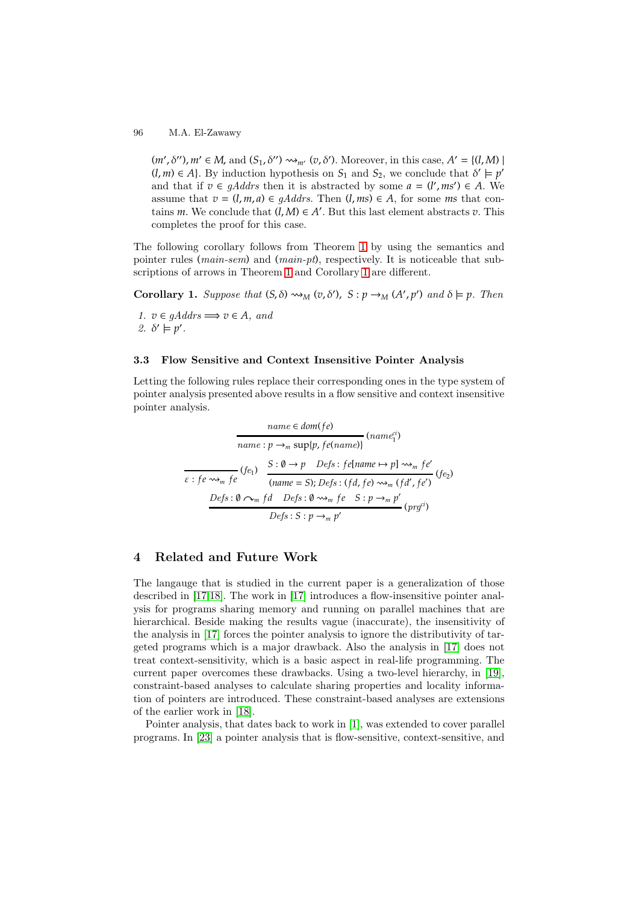$(m', \delta'')$ ,  $m' \in M$ , and  $(S_1, \delta'') \rightsquigarrow_{m'} (v, \delta')$ . Moreover, in this case,  $A' = \{(l, M) \mid$  $(l,m) \in A$ . By induction hypothesis on  $S_1$  and  $S_2$ , we conclude that  $\delta' \models p'$ and that if  $v \in \mathfrak{g}A$  ddrs then it is abstracted by some  $a = (l', ms') \in A$ . We assume that  $v = (l, m, a) \in qAddress$ . Then  $(l, ms) \in A$ , for some ms that contains  $m$ . We conclude that  $(l, M) \in A'$ . But this last element abstracts  $v$ . This completes the proof for this case.

The following corollary follows from Theorem [1](#page-11-0) by using the semantics and pointer rules (*main-sem*) and (*main-pt*), respectively. It is noticeable that subscriptions of arrows in Theorem [1](#page-11-0) and Corollary [1](#page-13-1) are different.

<span id="page-13-1"></span>**Corollary 1.** *Suppose that*  $(S, \delta) \rightsquigarrow_M (v, \delta')$ ,  $S : p \rightarrow_M (A', p')$  and  $\delta \models p$ . Then

*1.*  $v \in qAddress \implies v \in A$ *, and*  $2. \delta' \models p'.$ 

#### **3.3 Flow Sensitive and Context Insensitive Pointer Analysis**

Letting the following rules replace their corresponding ones in the type system of pointer analysis presented above results in a flow sensitive and context insensitive pointer analysis.

$$
name \in dom(fe)
$$
  
\n
$$
name: p \rightarrow_{m} sup\{p, fe(name)\}
$$
  
\n
$$
name: p \rightarrow_{m} supp, fe(name) \}
$$
  
\n
$$
ext{exp}^{i}
$$
  
\n
$$
f(e_1) \quad \frac{S: \emptyset \rightarrow p \quad Defs: fe(name \rightarrow p] \rightsquigarrow_{m} fe'}{(name = S); Defs: (fd, fe) \rightsquigarrow_{m} (fd', fe')} (fe_2)
$$
  
\n
$$
Defs: \emptyset \rightsquigarrow_{m} fd \quad Defs: \emptyset \rightsquigarrow_{m} fe \quad S: p \rightarrow_{m} p' \quad (prg^{i})
$$
  
\n
$$
Defs: S: p \rightarrow_{m} p' \quad (prg^{i})
$$

# <span id="page-13-0"></span>**4 Related and Future Work**

The langauge that is studied in the current paper is a generalization of those described in [\[17,](#page-15-2)[18\]](#page-15-3). The work in [\[17\]](#page-15-2) introduces a flow-insensitive pointer analysis for programs sharing memory and running on parallel machines that are hierarchical. Beside making the results vague (inaccurate), the insensitivity of the analysis in [\[17\]](#page-15-2) forces the pointer analysis to ignore the distributivity of targeted programs which is a major drawback. Also the analysis in [\[17\]](#page-15-2) does not treat context-sensitivity, which is a basic aspect in real-life programming. The current paper overcomes these drawbacks. Using a two-level hierarchy, in [\[19\]](#page-15-11), constraint-based analyses to calculate sharing properties and locality information of pointers are introduced. These constraint-based analyses are extensions of the earlier work in [\[18\]](#page-15-3).

Pointer analysis, that dates back to work in [\[1\]](#page-14-0), was extended to cover parallel programs. In [\[23\]](#page-16-0) a pointer analysis that is flow-sensitive, context-sensitive, and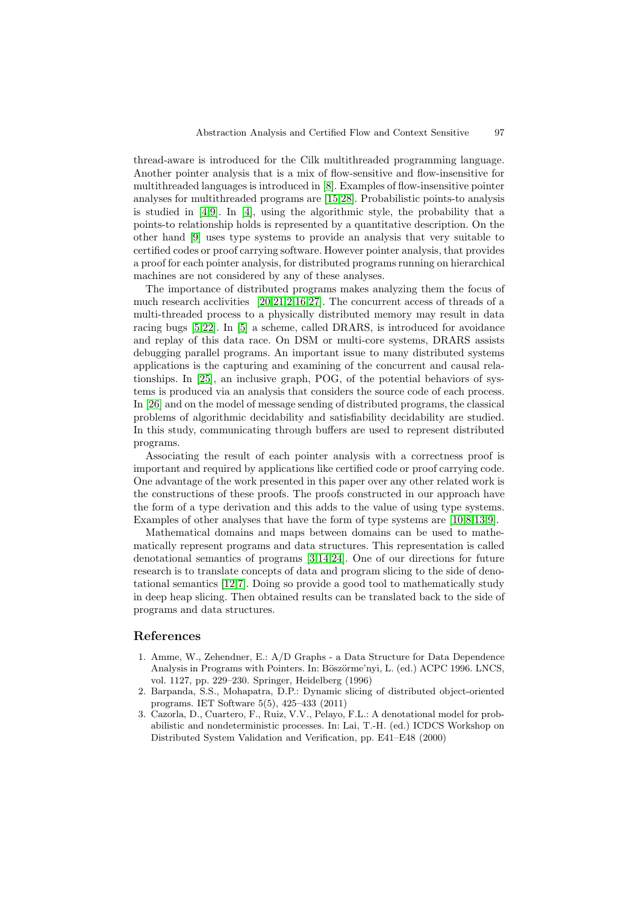thread-aware is introduced for the Cilk multithreaded programming language. Another pointer analysis that is a mix of flow-sensitive and flow-insensitive for multithreaded languages is introduced in [\[8\]](#page-15-5). Examples of flow-insensitive pointer analyses for multithreaded programs are [\[15,](#page-15-12)[28\]](#page-16-2). Probabilistic points-to analysis is studied in [\[4,](#page-15-13)[9\]](#page-15-7). In [\[4\]](#page-15-13), using the algorithmic style, the probability that a points-to relationship holds is represented by a quantitative description. On the other hand [\[9\]](#page-15-7) uses type systems to provide an analysis that very suitable to certified codes or proof carrying software. However pointer analysis, that provides a proof for each pointer analysis, for distributed programs running on hierarchical machines are not considered by any of these analyses.

The importance of distributed programs makes analyzing them the focus of much research acclivities [\[20,](#page-15-0)[21](#page-15-1)[,2](#page-14-1)[,16,](#page-15-8)[27\]](#page-16-1). The concurrent access of threads of a multi-threaded process to a physically distributed memory may result in data racing bugs [\[5](#page-15-14)[,22\]](#page-15-15). In [\[5\]](#page-15-14) a scheme, called DRARS, is introduced for avoidance and replay of this data race. On DSM or multi-core systems, DRARS assists debugging parallel programs. An important issue to many distributed systems applications is the capturing and examining of the concurrent and causal relationships. In [\[25\]](#page-16-3), an inclusive graph, POG, of the potential behaviors of systems is produced via an analysis that considers the source code of each process. In [\[26\]](#page-16-4) and on the model of message sending of distributed programs, the classical problems of algorithmic decidability and satisfiability decidability are studied. In this study, communicating through buffers are used to represent distributed programs.

Associating the result of each pointer analysis with a correctness proof is important and required by applications like certified code or proof carrying code. One advantage of the work presented in this paper over any other related work is the constructions of these proofs. The proofs constructed in our approach have the form of a type derivation and this adds to the value of using type systems. Examples of other analyses that have the form of type systems are [\[10,](#page-15-4)[8](#page-15-5)[,13,](#page-15-6)[9\]](#page-15-7).

Mathematical domains and maps between domains can be used to mathematically represent programs and data structures. This representation is called denotational semantics of programs [\[3,](#page-14-2)[14](#page-15-16)[,24\]](#page-16-5). One of our directions for future research is to translate concepts of data and program slicing to the side of denotational semantics [\[12,](#page-15-17)[7\]](#page-15-18). Doing so provide a good tool to mathematically study in deep heap slicing. Then obtained results can be translated back to the side of programs and data structures.

# <span id="page-14-0"></span>**References**

- 1. Amme, W., Zehendner, E.: A/D Graphs a Data Structure for Data Dependence Analysis in Programs with Pointers. In: Böszörme'nyi, L. (ed.) ACPC 1996. LNCS, vol. 1127, pp. 229–230. Springer, Heidelberg (1996)
- <span id="page-14-1"></span>2. Barpanda, S.S., Mohapatra, D.P.: Dynamic slicing of distributed object-oriented programs. IET Software 5(5), 425–433 (2011)
- <span id="page-14-2"></span>3. Cazorla, D., Cuartero, F., Ruiz, V.V., Pelayo, F.L.: A denotational model for probabilistic and nondeterministic processes. In: Lai, T.-H. (ed.) ICDCS Workshop on Distributed System Validation and Verification, pp. E41–E48 (2000)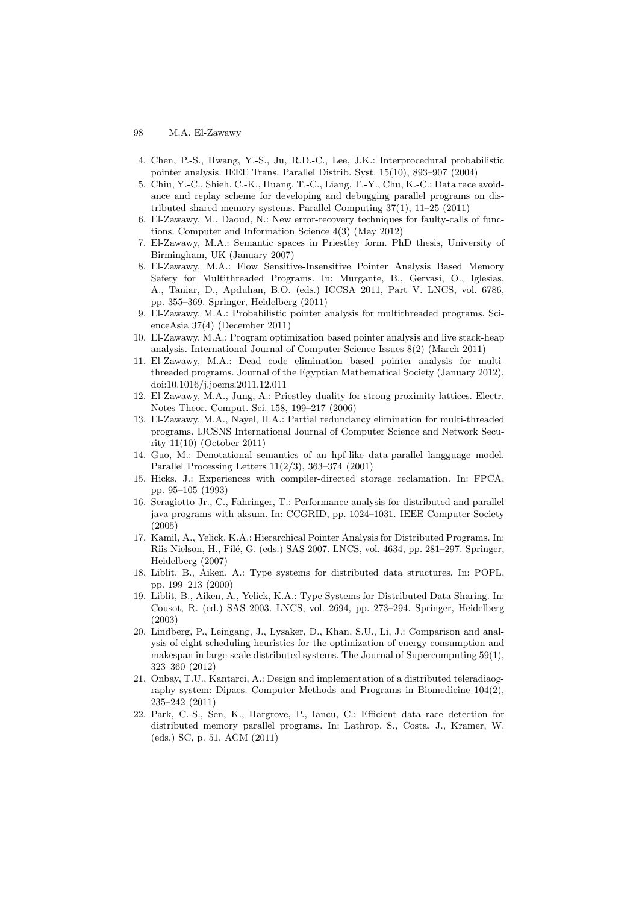- <span id="page-15-13"></span>4. Chen, P.-S., Hwang, Y.-S., Ju, R.D.-C., Lee, J.K.: Interprocedural probabilistic pointer analysis. IEEE Trans. Parallel Distrib. Syst. 15(10), 893–907 (2004)
- <span id="page-15-14"></span>5. Chiu, Y.-C., Shieh, C.-K., Huang, T.-C., Liang, T.-Y., Chu, K.-C.: Data race avoidance and replay scheme for developing and debugging parallel programs on distributed shared memory systems. Parallel Computing 37(1), 11–25 (2011)
- <span id="page-15-10"></span>6. El-Zawawy, M., Daoud, N.: New error-recovery techniques for faulty-calls of functions. Computer and Information Science 4(3) (May 2012)
- <span id="page-15-18"></span>7. El-Zawawy, M.A.: Semantic spaces in Priestley form. PhD thesis, University of Birmingham, UK (January 2007)
- <span id="page-15-5"></span>8. El-Zawawy, M.A.: Flow Sensitive-Insensitive Pointer Analysis Based Memory Safety for Multithreaded Programs. In: Murgante, B., Gervasi, O., Iglesias, A., Taniar, D., Apduhan, B.O. (eds.) ICCSA 2011, Part V. LNCS, vol. 6786, pp. 355–369. Springer, Heidelberg (2011)
- <span id="page-15-7"></span>9. El-Zawawy, M.A.: Probabilistic pointer analysis for multithreaded programs. ScienceAsia 37(4) (December 2011)
- <span id="page-15-4"></span>10. El-Zawawy, M.A.: Program optimization based pointer analysis and live stack-heap analysis. International Journal of Computer Science Issues 8(2) (March 2011)
- <span id="page-15-9"></span>11. El-Zawawy, M.A.: Dead code elimination based pointer analysis for multithreaded programs. Journal of the Egyptian Mathematical Society (January 2012), doi:10.1016/j.joems.2011.12.011
- <span id="page-15-17"></span>12. El-Zawawy, M.A., Jung, A.: Priestley duality for strong proximity lattices. Electr. Notes Theor. Comput. Sci. 158, 199–217 (2006)
- <span id="page-15-6"></span>13. El-Zawawy, M.A., Nayel, H.A.: Partial redundancy elimination for multi-threaded programs. IJCSNS International Journal of Computer Science and Network Security 11(10) (October 2011)
- <span id="page-15-16"></span>14. Guo, M.: Denotational semantics of an hpf-like data-parallel langguage model. Parallel Processing Letters 11(2/3), 363–374 (2001)
- <span id="page-15-12"></span>15. Hicks, J.: Experiences with compiler-directed storage reclamation. In: FPCA, pp. 95–105 (1993)
- <span id="page-15-8"></span>16. Seragiotto Jr., C., Fahringer, T.: Performance analysis for distributed and parallel java programs with aksum. In: CCGRID, pp. 1024–1031. IEEE Computer Society (2005)
- <span id="page-15-2"></span>17. Kamil, A., Yelick, K.A.: Hierarchical Pointer Analysis for Distributed Programs. In: Riis Nielson, H., Filé, G. (eds.) SAS 2007. LNCS, vol. 4634, pp. 281–297. Springer, Heidelberg (2007)
- <span id="page-15-3"></span>18. Liblit, B., Aiken, A.: Type systems for distributed data structures. In: POPL, pp. 199–213 (2000)
- <span id="page-15-11"></span>19. Liblit, B., Aiken, A., Yelick, K.A.: Type Systems for Distributed Data Sharing. In: Cousot, R. (ed.) SAS 2003. LNCS, vol. 2694, pp. 273–294. Springer, Heidelberg (2003)
- <span id="page-15-0"></span>20. Lindberg, P., Leingang, J., Lysaker, D., Khan, S.U., Li, J.: Comparison and analysis of eight scheduling heuristics for the optimization of energy consumption and makespan in large-scale distributed systems. The Journal of Supercomputing 59(1), 323–360 (2012)
- <span id="page-15-1"></span>21. Onbay, T.U., Kantarci, A.: Design and implementation of a distributed teleradiaography system: Dipacs. Computer Methods and Programs in Biomedicine 104(2), 235–242 (2011)
- <span id="page-15-15"></span>22. Park, C.-S., Sen, K., Hargrove, P., Iancu, C.: Efficient data race detection for distributed memory parallel programs. In: Lathrop, S., Costa, J., Kramer, W. (eds.) SC, p. 51. ACM (2011)